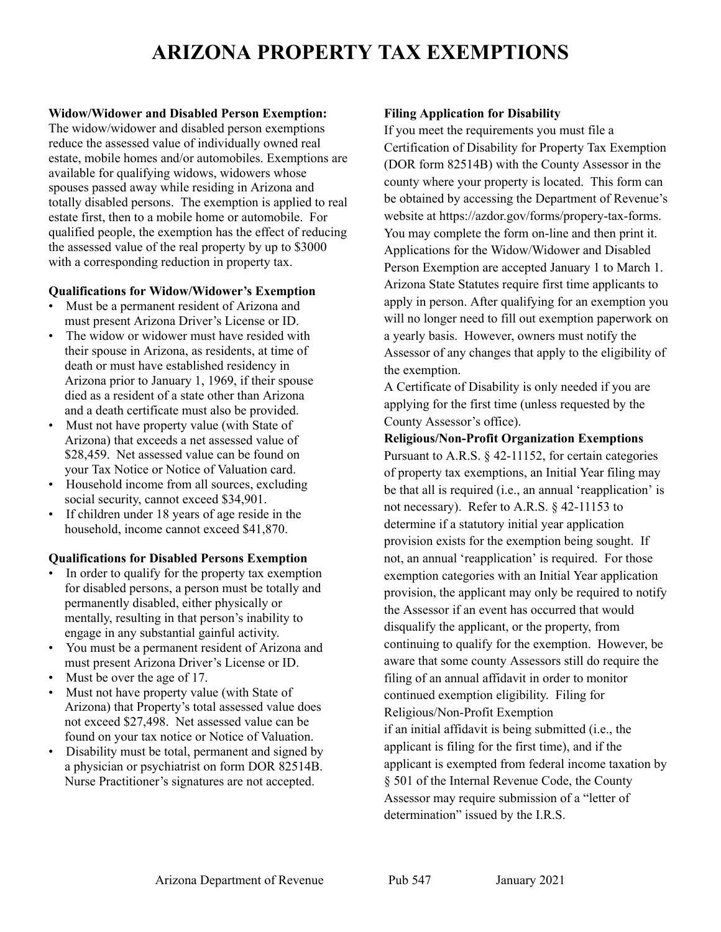# **ARIZONA PROPERTY TAX EXEMPTIONS**

# **Widow/Widower and Disabled Person Exemption:**

The widow/widower and disabled person exemptions reduce the assessed value of individually owned real estate, mobile homes and/or automobiles. Exemptions are available for qualifying widows, widowers whose spouses passed away while residing in Arizona and totally disabled persons. The exemption is applied to real estate first, then to a mobile home or automobile. For qualified people, the exemption has the effect of reducing the assessed value of the real property by up to \$3000 with a corresponding reduction in property tax.

# **Qualifications for Widow/Widower's Exemption**

- Must be a permanent resident of Arizona and must present Arizona Driver's License or ID.
- The widow or widower must have resided with their spouse in Arizona, as residents, at time of death or must have established residency in Arizona prior to January 1, 1969, if their spouse died as a resident of a state other than Arizona and a death certificate must also be provided.
- Must not have property value (with State of Arizona) that exceeds a net assessed value of \$28,459. Net assessed value can be found on your Tax Notice or Notice of Valuation card.
- Household income from all sources, excluding social security, cannot exceed \$34,901.
- If children under 18 years of age reside in the household, income cannot exceed \$41,870.

# **Qualifications for Disabled Persons Exemption**

- In order to qualify for the property tax exemption for disabled persons, a person must be totally and permanently disabled, either physically or mentally, resulting in that person's inability to engage in any substantial gainful activity.
- You must be a permanent resident of Arizona and must present Arizona Driver's License or ID.
- Must be over the age of 17.
- Must not have property value (with State of Arizona) that Property's total assessed value does not exceed \$27,498. Net assessed value can be found on your tax notice or Notice of Valuation.
- Disability must be total, permanent and signed by a physician or psychiatrist on form DOR 82514B. Nurse Practitioner's signatures are not accepted.

# **Filing Application for Disability**

If you meet the requirements you must file a Certification of Disability for Property Tax Exemption (DOR form 82514B) with the County Assessor in the county where your property is located. This form can be obtained by accessing the Department of Revenue's website at https://azdor.gov/forms/propery-tax-forms. You may complete the form on-line and then print it. Applications for the Widow/Widower and Disabled Person Exemption are accepted January 1 to March 1. Arizona State Statutes require first time applicants to apply in person. After qualifying for an exemption you will no longer need to fill out exemption paperwork on a yearly basis. However, owners must notify the Assessor of any changes that apply to the eligibility of the exemption.

A Certificate of Disability is only needed if you are applying for the first time (unless requested by the County Assessor's office).

**Religious/Non-Profit Organization Exemptions** Pursuant to A.R.S. § 42-11152, for certain categories of property tax exemptions, an Initial Year filing may be that all is required (i.e., an annual 'reapplication' is not necessary). Refer to A.R.S. § 42-11153 to determine if a statutory initial year application provision exists for the exemption being sought. If not, an annual 'reapplication' is required. For those exemption categories with an Initial Year application provision, the applicant may only be required to notify the Assessor if an event has occurred that would disqualify the applicant, or the property, from continuing to qualify for the exemption. However, be aware that some county Assessors still do require the filing of an annual affidavit in order to monitor continued exemption eligibility. Filing for Religious/Non-Profit Exemption if an initial affidavit is being submitted (i.e., the applicant is filing for the first time), and if the applicant is exempted from federal income taxation by § 501 of the Internal Revenue Code, the County Assessor may require submission of a "letter of determination" issued by the I.R.S.